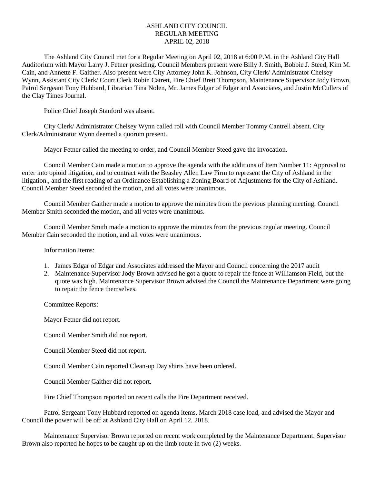## ASHLAND CITY COUNCIL REGULAR MEETING APRIL 02, 2018

The Ashland City Council met for a Regular Meeting on April 02, 2018 at 6:00 P.M. in the Ashland City Hall Auditorium with Mayor Larry J. Fetner presiding. Council Members present were Billy J. Smith, Bobbie J. Steed, Kim M. Cain, and Annette F. Gaither. Also present were City Attorney John K. Johnson, City Clerk/ Administrator Chelsey Wynn, Assistant City Clerk/ Court Clerk Robin Catrett, Fire Chief Brett Thompson, Maintenance Supervisor Jody Brown, Patrol Sergeant Tony Hubbard, Librarian Tina Nolen, Mr. James Edgar of Edgar and Associates, and Justin McCullers of the Clay Times Journal.

Police Chief Joseph Stanford was absent.

City Clerk/ Administrator Chelsey Wynn called roll with Council Member Tommy Cantrell absent. City Clerk/Administrator Wynn deemed a quorum present.

Mayor Fetner called the meeting to order, and Council Member Steed gave the invocation.

Council Member Cain made a motion to approve the agenda with the additions of Item Number 11: Approval to enter into opioid litigation, and to contract with the Beasley Allen Law Firm to represent the City of Ashland in the litigation., and the first reading of an Ordinance Establishing a Zoning Board of Adjustments for the City of Ashland. Council Member Steed seconded the motion, and all votes were unanimous.

Council Member Gaither made a motion to approve the minutes from the previous planning meeting. Council Member Smith seconded the motion, and all votes were unanimous.

Council Member Smith made a motion to approve the minutes from the previous regular meeting. Council Member Cain seconded the motion, and all votes were unanimous.

Information Items:

- 1. James Edgar of Edgar and Associates addressed the Mayor and Council concerning the 2017 audit
- 2. Maintenance Supervisor Jody Brown advised he got a quote to repair the fence at Williamson Field, but the quote was high. Maintenance Supervisor Brown advised the Council the Maintenance Department were going to repair the fence themselves.

Committee Reports:

Mayor Fetner did not report.

Council Member Smith did not report.

Council Member Steed did not report.

Council Member Cain reported Clean-up Day shirts have been ordered.

Council Member Gaither did not report.

Fire Chief Thompson reported on recent calls the Fire Department received.

Patrol Sergeant Tony Hubbard reported on agenda items, March 2018 case load, and advised the Mayor and Council the power will be off at Ashland City Hall on April 12, 2018.

Maintenance Supervisor Brown reported on recent work completed by the Maintenance Department. Supervisor Brown also reported he hopes to be caught up on the limb route in two (2) weeks.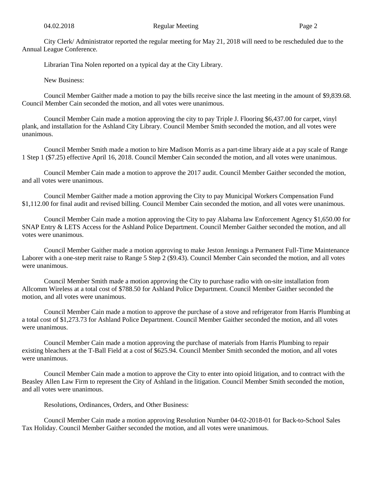City Clerk/ Administrator reported the regular meeting for May 21, 2018 will need to be rescheduled due to the Annual League Conference.

Librarian Tina Nolen reported on a typical day at the City Library.

New Business:

Council Member Gaither made a motion to pay the bills receive since the last meeting in the amount of \$9,839.68. Council Member Cain seconded the motion, and all votes were unanimous.

Council Member Cain made a motion approving the city to pay Triple J. Flooring \$6,437.00 for carpet, vinyl plank, and installation for the Ashland City Library. Council Member Smith seconded the motion, and all votes were unanimous.

Council Member Smith made a motion to hire Madison Morris as a part-time library aide at a pay scale of Range 1 Step 1 (\$7.25) effective April 16, 2018. Council Member Cain seconded the motion, and all votes were unanimous.

Council Member Cain made a motion to approve the 2017 audit. Council Member Gaither seconded the motion, and all votes were unanimous.

Council Member Gaither made a motion approving the City to pay Municipal Workers Compensation Fund \$1,112.00 for final audit and revised billing. Council Member Cain seconded the motion, and all votes were unanimous.

Council Member Cain made a motion approving the City to pay Alabama law Enforcement Agency \$1,650.00 for SNAP Entry & LETS Access for the Ashland Police Department. Council Member Gaither seconded the motion, and all votes were unanimous.

Council Member Gaither made a motion approving to make Jeston Jennings a Permanent Full-Time Maintenance Laborer with a one-step merit raise to Range 5 Step 2 (\$9.43). Council Member Cain seconded the motion, and all votes were unanimous.

Council Member Smith made a motion approving the City to purchase radio with on-site installation from Allcomm Wireless at a total cost of \$788.50 for Ashland Police Department. Council Member Gaither seconded the motion, and all votes were unanimous.

Council Member Cain made a motion to approve the purchase of a stove and refrigerator from Harris Plumbing at a total cost of \$1,273.73 for Ashland Police Department. Council Member Gaither seconded the motion, and all votes were unanimous.

Council Member Cain made a motion approving the purchase of materials from Harris Plumbing to repair existing bleachers at the T-Ball Field at a cost of \$625.94. Council Member Smith seconded the motion, and all votes were unanimous.

Council Member Cain made a motion to approve the City to enter into opioid litigation, and to contract with the Beasley Allen Law Firm to represent the City of Ashland in the litigation. Council Member Smith seconded the motion, and all votes were unanimous.

Resolutions, Ordinances, Orders, and Other Business:

Council Member Cain made a motion approving Resolution Number 04-02-2018-01 for Back-to-School Sales Tax Holiday. Council Member Gaither seconded the motion, and all votes were unanimous.